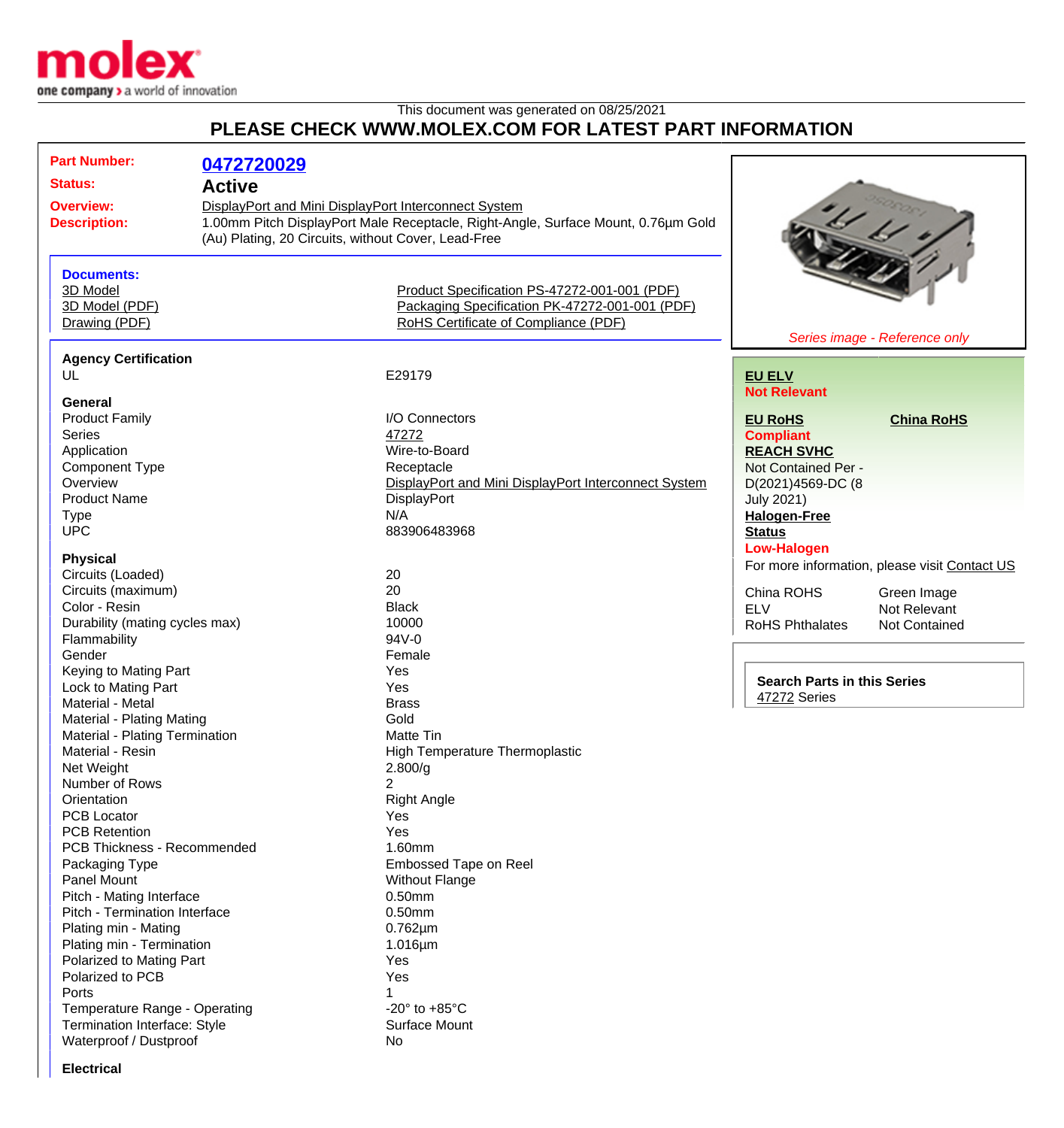

This document was generated on 08/25/2021

## **PLEASE CHECK WWW.MOLEX.COM FOR LATEST PART INFORMATION**

| <b>Part Number:</b><br><b>Status:</b><br><b>Overview:</b><br><b>Description:</b> |                                | 0472720029<br><b>Active</b><br>DisplayPort and Mini DisplayPort Interconnect System<br>1.00mm Pitch DisplayPort Male Receptacle, Right-Angle, Surface Mount, 0.76µm Gold<br>(Au) Plating, 20 Circuits, without Cover, Lead-Free |                                                      |                                                    |                                               |
|----------------------------------------------------------------------------------|--------------------------------|---------------------------------------------------------------------------------------------------------------------------------------------------------------------------------------------------------------------------------|------------------------------------------------------|----------------------------------------------------|-----------------------------------------------|
|                                                                                  | <b>Documents:</b>              |                                                                                                                                                                                                                                 |                                                      |                                                    |                                               |
|                                                                                  | 3D Model                       |                                                                                                                                                                                                                                 |                                                      |                                                    |                                               |
|                                                                                  |                                |                                                                                                                                                                                                                                 | Product Specification PS-47272-001-001 (PDF)         |                                                    |                                               |
|                                                                                  | 3D Model (PDF)                 |                                                                                                                                                                                                                                 | Packaging Specification PK-47272-001-001 (PDF)       |                                                    |                                               |
|                                                                                  | Drawing (PDF)                  |                                                                                                                                                                                                                                 | RoHS Certificate of Compliance (PDF)                 |                                                    |                                               |
|                                                                                  |                                |                                                                                                                                                                                                                                 |                                                      |                                                    | Series image - Reference only                 |
|                                                                                  | <b>Agency Certification</b>    |                                                                                                                                                                                                                                 |                                                      |                                                    |                                               |
|                                                                                  | UL                             |                                                                                                                                                                                                                                 | E29179                                               | <b>EU ELV</b>                                      |                                               |
|                                                                                  |                                |                                                                                                                                                                                                                                 |                                                      | <b>Not Relevant</b>                                |                                               |
|                                                                                  | General                        |                                                                                                                                                                                                                                 |                                                      |                                                    |                                               |
|                                                                                  | <b>Product Family</b>          |                                                                                                                                                                                                                                 | I/O Connectors                                       | <b>EU RoHS</b>                                     | <b>China RoHS</b>                             |
|                                                                                  | <b>Series</b>                  |                                                                                                                                                                                                                                 | 47272                                                | <b>Compliant</b>                                   |                                               |
|                                                                                  | Application                    |                                                                                                                                                                                                                                 | Wire-to-Board                                        | <b>REACH SVHC</b>                                  |                                               |
|                                                                                  | <b>Component Type</b>          |                                                                                                                                                                                                                                 | Receptacle                                           | Not Contained Per -                                |                                               |
|                                                                                  | Overview                       |                                                                                                                                                                                                                                 | DisplayPort and Mini DisplayPort Interconnect System | D(2021)4569-DC (8                                  |                                               |
|                                                                                  | <b>Product Name</b>            |                                                                                                                                                                                                                                 | DisplayPort                                          | <b>July 2021)</b>                                  |                                               |
|                                                                                  | <b>Type</b>                    |                                                                                                                                                                                                                                 | N/A                                                  | <b>Halogen-Free</b>                                |                                               |
|                                                                                  | <b>UPC</b>                     |                                                                                                                                                                                                                                 | 883906483968                                         | <b>Status</b>                                      |                                               |
|                                                                                  |                                |                                                                                                                                                                                                                                 |                                                      | <b>Low-Halogen</b>                                 |                                               |
|                                                                                  | <b>Physical</b>                |                                                                                                                                                                                                                                 |                                                      |                                                    |                                               |
|                                                                                  | Circuits (Loaded)              |                                                                                                                                                                                                                                 | 20                                                   |                                                    | For more information, please visit Contact US |
|                                                                                  | Circuits (maximum)             |                                                                                                                                                                                                                                 | 20                                                   | China ROHS                                         |                                               |
|                                                                                  | Color - Resin                  |                                                                                                                                                                                                                                 | <b>Black</b>                                         |                                                    | Green Image                                   |
|                                                                                  |                                |                                                                                                                                                                                                                                 |                                                      | <b>ELV</b>                                         | Not Relevant                                  |
|                                                                                  | Durability (mating cycles max) |                                                                                                                                                                                                                                 | 10000                                                | RoHS Phthalates                                    | Not Contained                                 |
|                                                                                  | Flammability                   |                                                                                                                                                                                                                                 | 94V-0                                                |                                                    |                                               |
|                                                                                  | Gender                         |                                                                                                                                                                                                                                 | Female                                               |                                                    |                                               |
|                                                                                  | Keying to Mating Part          |                                                                                                                                                                                                                                 | Yes                                                  | <b>Search Parts in this Series</b><br>47272 Series |                                               |
|                                                                                  | Lock to Mating Part            |                                                                                                                                                                                                                                 | Yes                                                  |                                                    |                                               |
|                                                                                  | Material - Metal               |                                                                                                                                                                                                                                 | <b>Brass</b>                                         |                                                    |                                               |
|                                                                                  | Material - Plating Mating      |                                                                                                                                                                                                                                 | Gold                                                 |                                                    |                                               |
|                                                                                  | Material - Plating Termination |                                                                                                                                                                                                                                 | <b>Matte Tin</b>                                     |                                                    |                                               |
|                                                                                  | Material - Resin               |                                                                                                                                                                                                                                 | High Temperature Thermoplastic                       |                                                    |                                               |
|                                                                                  | Net Weight                     |                                                                                                                                                                                                                                 | 2.800/g                                              |                                                    |                                               |
|                                                                                  | Number of Rows                 |                                                                                                                                                                                                                                 | 2                                                    |                                                    |                                               |
|                                                                                  | Orientation                    |                                                                                                                                                                                                                                 | <b>Right Angle</b>                                   |                                                    |                                               |
| <b>PCB Locator</b>                                                               |                                |                                                                                                                                                                                                                                 | Yes                                                  |                                                    |                                               |
|                                                                                  | <b>PCB Retention</b>           |                                                                                                                                                                                                                                 | Yes                                                  |                                                    |                                               |
|                                                                                  | PCB Thickness - Recommended    |                                                                                                                                                                                                                                 | 1.60mm                                               |                                                    |                                               |
|                                                                                  |                                |                                                                                                                                                                                                                                 | <b>Embossed Tape on Reel</b>                         |                                                    |                                               |
|                                                                                  | Packaging Type<br>Panel Mount  |                                                                                                                                                                                                                                 |                                                      |                                                    |                                               |
|                                                                                  |                                |                                                                                                                                                                                                                                 | <b>Without Flange</b>                                |                                                    |                                               |
|                                                                                  | Pitch - Mating Interface       |                                                                                                                                                                                                                                 | $0.50$ mm                                            |                                                    |                                               |
|                                                                                  | Pitch - Termination Interface  |                                                                                                                                                                                                                                 | 0.50mm                                               |                                                    |                                               |
|                                                                                  | Plating min - Mating           |                                                                                                                                                                                                                                 | $0.762 \mu m$                                        |                                                    |                                               |
|                                                                                  | Plating min - Termination      |                                                                                                                                                                                                                                 | 1.016µm                                              |                                                    |                                               |
|                                                                                  | Polarized to Mating Part       |                                                                                                                                                                                                                                 | Yes                                                  |                                                    |                                               |
|                                                                                  | Polarized to PCB               |                                                                                                                                                                                                                                 | Yes                                                  |                                                    |                                               |
|                                                                                  | Ports                          |                                                                                                                                                                                                                                 |                                                      |                                                    |                                               |
|                                                                                  | Temperature Range - Operating  |                                                                                                                                                                                                                                 | -20 $\degree$ to +85 $\degree$ C                     |                                                    |                                               |
|                                                                                  | Termination Interface: Style   |                                                                                                                                                                                                                                 | <b>Surface Mount</b>                                 |                                                    |                                               |
|                                                                                  | Waterproof / Dustproof         |                                                                                                                                                                                                                                 | No                                                   |                                                    |                                               |
|                                                                                  |                                |                                                                                                                                                                                                                                 |                                                      |                                                    |                                               |